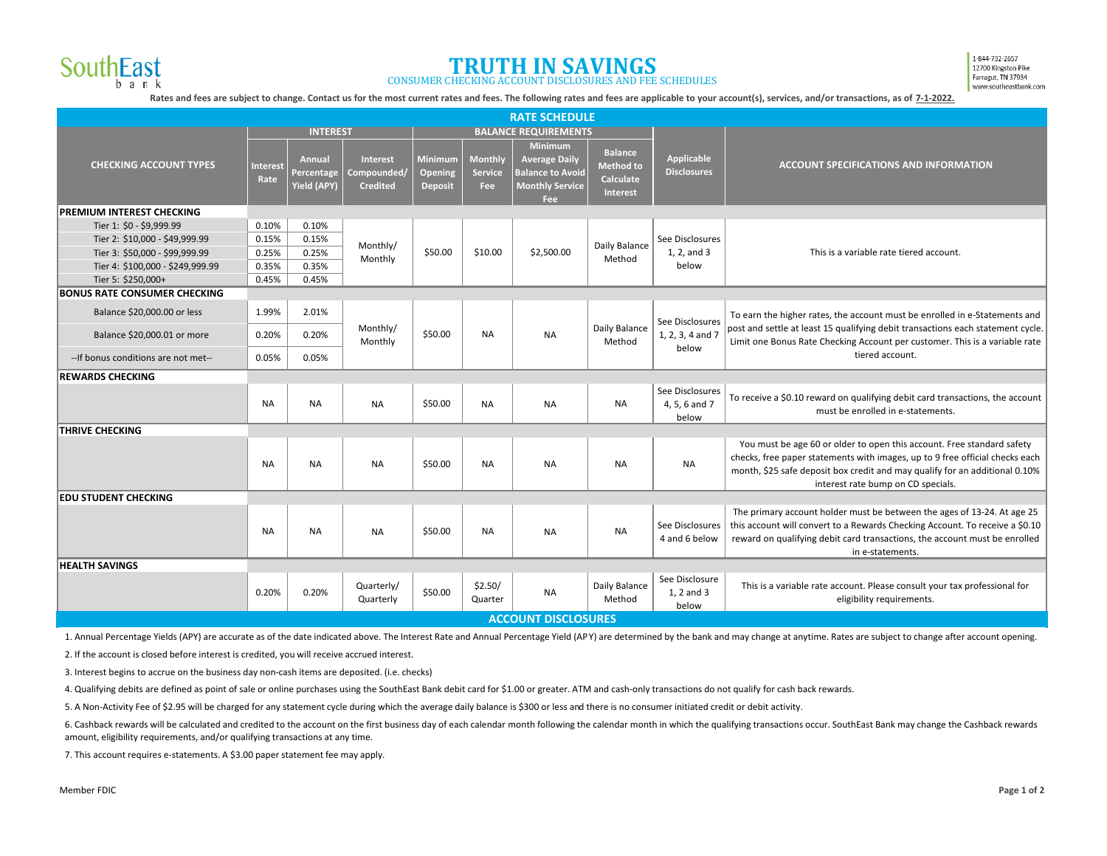

## **TRUTH IN SAVINGS** CONSUMER CHECKING ACCOUNT DISCLOSURES AND FEE SCHEDULES

1-844-732-2657 12700 Kingston Pike Farragut, TN 37934 www.southeastbank.com

Rates and fees are subject to change. Contact us for the most current rates and fees. The following rates and fees are applicable to your account(s), services, and/or transactions, as of 7-1-2022.

| <b>RATE SCHEDULE</b>                |                            |                                                   |                                                   |                                             |                                  |                                                                                                    |                                                                    |                                              |                                                                                                                                                                                                                                                                             |
|-------------------------------------|----------------------------|---------------------------------------------------|---------------------------------------------------|---------------------------------------------|----------------------------------|----------------------------------------------------------------------------------------------------|--------------------------------------------------------------------|----------------------------------------------|-----------------------------------------------------------------------------------------------------------------------------------------------------------------------------------------------------------------------------------------------------------------------------|
|                                     | <b>INTEREST</b>            |                                                   |                                                   | <b>BALANCE REQUIREMENTS</b>                 |                                  |                                                                                                    |                                                                    |                                              |                                                                                                                                                                                                                                                                             |
| <b>CHECKING ACCOUNT TYPES</b>       | <b>Interest</b><br>Rate    | <b>Annual</b><br>Percentage<br><b>Yield (APY)</b> | <b>Interest</b><br>Compounded/<br><b>Credited</b> | <b>Minimum</b><br>Opening<br><b>Deposit</b> | Monthly<br><b>Service</b><br>Fee | Minimum<br><b>Average Daily</b><br><b>Balance to Avoid</b><br><b>Monthly Service</b><br><b>Fee</b> | <b>Balance</b><br><b>Method to</b><br><b>Calculate</b><br>Interest | Applicable<br><b>Disclosures</b>             | <b>ACCOUNT SPECIFICATIONS AND INFORMATION</b>                                                                                                                                                                                                                               |
| <b>PREMIUM INTEREST CHECKING</b>    |                            |                                                   |                                                   |                                             |                                  |                                                                                                    |                                                                    |                                              |                                                                                                                                                                                                                                                                             |
| Tier 1: \$0 - \$9,999.99            | 0.10%                      | 0.10%                                             | Monthly/<br>Monthly                               | \$50.00                                     | \$10.00                          | \$2,500.00                                                                                         | Daily Balance<br>Method                                            | See Disclosures<br>1, 2, and 3<br>below      | This is a variable rate tiered account.                                                                                                                                                                                                                                     |
| Tier 2: \$10,000 - \$49,999.99      | 0.15%                      | 0.15%                                             |                                                   |                                             |                                  |                                                                                                    |                                                                    |                                              |                                                                                                                                                                                                                                                                             |
| Tier 3: \$50,000 - \$99,999.99      | 0.25%                      | 0.25%                                             |                                                   |                                             |                                  |                                                                                                    |                                                                    |                                              |                                                                                                                                                                                                                                                                             |
| Tier 4: \$100,000 - \$249,999.99    | 0.35%                      | 0.35%                                             |                                                   |                                             |                                  |                                                                                                    |                                                                    |                                              |                                                                                                                                                                                                                                                                             |
| Tier 5: \$250,000+                  | 0.45%                      | 0.45%                                             |                                                   |                                             |                                  |                                                                                                    |                                                                    |                                              |                                                                                                                                                                                                                                                                             |
| <b>BONUS RATE CONSUMER CHECKING</b> |                            |                                                   |                                                   |                                             |                                  |                                                                                                    |                                                                    |                                              |                                                                                                                                                                                                                                                                             |
| Balance \$20,000.00 or less         | 1.99%                      | 2.01%                                             | Monthly/<br>Monthly                               | \$50.00                                     | <b>NA</b>                        | <b>NA</b>                                                                                          | Daily Balance<br>Method                                            | See Disclosures<br>1, 2, 3, 4 and 7<br>below | To earn the higher rates, the account must be enrolled in e-Statements and<br>post and settle at least 15 qualifying debit transactions each statement cycle.<br>Limit one Bonus Rate Checking Account per customer. This is a variable rate<br>tiered account.             |
| Balance \$20,000.01 or more         | 0.20%                      | 0.20%                                             |                                                   |                                             |                                  |                                                                                                    |                                                                    |                                              |                                                                                                                                                                                                                                                                             |
| --If bonus conditions are not met-- | 0.05%                      | 0.05%                                             |                                                   |                                             |                                  |                                                                                                    |                                                                    |                                              |                                                                                                                                                                                                                                                                             |
| <b>REWARDS CHECKING</b>             |                            |                                                   |                                                   |                                             |                                  |                                                                                                    |                                                                    |                                              |                                                                                                                                                                                                                                                                             |
|                                     | <b>NA</b>                  | <b>NA</b>                                         | <b>NA</b>                                         | \$50.00                                     | <b>NA</b>                        | <b>NA</b>                                                                                          | <b>NA</b>                                                          | See Disclosures<br>4, 5, 6 and 7<br>below    | To receive a \$0.10 reward on qualifying debit card transactions, the account<br>must be enrolled in e-statements.                                                                                                                                                          |
| <b>THRIVE CHECKING</b>              |                            |                                                   |                                                   |                                             |                                  |                                                                                                    |                                                                    |                                              |                                                                                                                                                                                                                                                                             |
|                                     | <b>NA</b>                  | <b>NA</b>                                         | <b>NA</b>                                         | \$50.00                                     | <b>NA</b>                        | <b>NA</b>                                                                                          | NA                                                                 | <b>NA</b>                                    | You must be age 60 or older to open this account. Free standard safety<br>checks, free paper statements with images, up to 9 free official checks each<br>month, \$25 safe deposit box credit and may qualify for an additional 0.10%<br>interest rate bump on CD specials. |
| <b>EDU STUDENT CHECKING</b>         |                            |                                                   |                                                   |                                             |                                  |                                                                                                    |                                                                    |                                              |                                                                                                                                                                                                                                                                             |
|                                     | NA                         | <b>NA</b>                                         | <b>NA</b>                                         | \$50.00                                     | <b>NA</b>                        | <b>NA</b>                                                                                          | <b>NA</b>                                                          | See Disclosures<br>4 and 6 below             | The primary account holder must be between the ages of 13-24. At age 25<br>this account will convert to a Rewards Checking Account. To receive a \$0.10<br>reward on qualifying debit card transactions, the account must be enrolled<br>in e-statements.                   |
| <b>HEALTH SAVINGS</b>               |                            |                                                   |                                                   |                                             |                                  |                                                                                                    |                                                                    |                                              |                                                                                                                                                                                                                                                                             |
|                                     | 0.20%                      | 0.20%                                             | Quarterly/<br>Quarterly                           | \$50.00                                     | \$2.50/<br>Quarter               | <b>NA</b>                                                                                          | Daily Balance<br>Method                                            | See Disclosure<br>1, 2 and 3<br>below        | This is a variable rate account. Please consult your tax professional for<br>eligibility requirements.                                                                                                                                                                      |
|                                     | <b>ACCOUNT DISCLOSURES</b> |                                                   |                                                   |                                             |                                  |                                                                                                    |                                                                    |                                              |                                                                                                                                                                                                                                                                             |

1. Annual Percentage Yields (APY) are accurate as of the date indicated above. The Interest Rate and Annual Percentage Yield (APY) are determined by the bank and may change at anytime. Rates are subject to change after acc

2. If the account is closed before interest is credited, you will receive accrued interest.

3. Interest begins to accrue on the business day non-cash items are deposited. (i.e. checks)

4. Qualifying debits are defined as point of sale or online purchases using the SouthEast Bank debit card for \$1.00 or greater. ATM and cash-only transactions do not qualify for cash back rewards.

5. A Non-Activity Fee of \$2.95 will be charged for any statement cycle during which the average daily balance is \$300 or less and there is no consumer initiated credit or debit activity.

6. Cashback rewards will be calculated and credited to the account on the first business day of each calendar month following the calendar month in which the qualifying transactions occur. SouthEast Bank may change the Cas amount, eligibility requirements, and/or qualifying transactions at any time.

7. This account requires e-statements. A \$3.00 paper statement fee may apply.